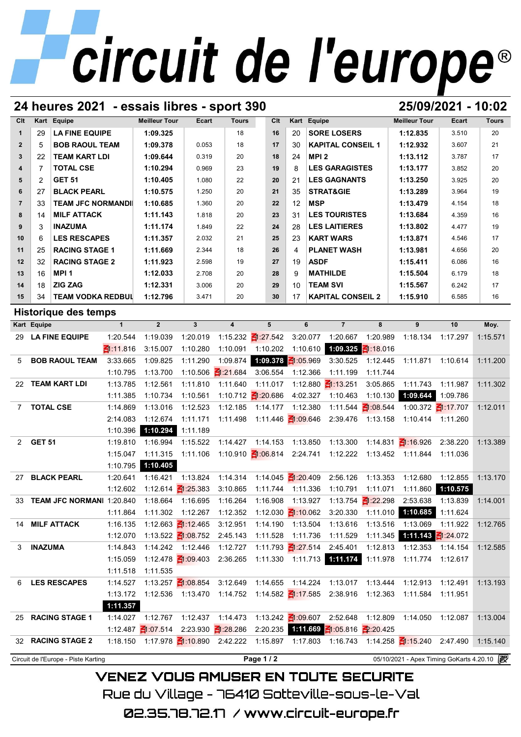## **24 heures 2021 - essais libres - sport 390 25/09/2021 - 10:02**

| Clt                     |                | Kart Equipe              | <b>Meilleur Tour</b> | Ecart | <b>Tours</b> | Clt | Kart | Equipe                   | <b>Meilleur Tour</b> | Ecart | <b>Tours</b> |
|-------------------------|----------------|--------------------------|----------------------|-------|--------------|-----|------|--------------------------|----------------------|-------|--------------|
|                         | 29             | <b>LA FINE EQUIPE</b>    | 1:09.325             |       | 18           | 16  | 20   | <b>SORE LOSERS</b>       | 1:12.835             | 3.510 | 20           |
| $\overline{2}$          | 5              | <b>BOB RAOUL TEAM</b>    | 1:09.378             | 0.053 | 18           | 17  | 30   | <b>KAPITAL CONSEIL 1</b> | 1:12.932             | 3.607 | 21           |
| 3                       | 22             | <b>TEAM KART LDI</b>     | 1:09.644             | 0.319 | 20           | 18  | 24   | MPI <sub>2</sub>         | 1:13.112             | 3.787 | 17           |
| $\overline{\mathbf{4}}$ |                | <b>TOTAL CSE</b>         | 1:10.294             | 0.969 | 23           | 19  | 8    | <b>LES GARAGISTES</b>    | 1:13.177             | 3.852 | 20           |
| 5                       | $\overline{2}$ | <b>GET 51</b>            | 1:10.405             | 1.080 | 22           | 20  | 21   | <b>LES GAGNANTS</b>      | 1:13.250             | 3.925 | 20           |
| 6                       | 27             | <b>BLACK PEARL</b>       | 1:10.575             | 1.250 | 20           | 21  | 35   | <b>STRAT&amp;GIE</b>     | 1:13.289             | 3.964 | 19           |
| $\overline{7}$          | 33             | <b>TEAM JFC NORMANDI</b> | 1:10.685             | 1.360 | 20           | 22  | 12   | <b>MSP</b>               | 1:13.479             | 4.154 | 18           |
| 8                       | 14             | <b>MILF ATTACK</b>       | 1:11.143             | 1.818 | 20           | 23  | 31   | <b>LES TOURISTES</b>     | 1:13.684             | 4.359 | 16           |
| 9                       | 3              | <b>INAZUMA</b>           | 1:11.174             | 1.849 | 22           | 24  | 28   | <b>LES LAITIERES</b>     | 1:13.802             | 4.477 | 19           |
| 10                      | 6              | <b>LES RESCAPES</b>      | 1:11.357             | 2.032 | 21           | 25  | 23   | <b>KART WARS</b>         | 1:13.871             | 4.546 | 17           |
| 11                      | 25             | <b>RACING STAGE 1</b>    | 1:11.669             | 2.344 | 18           | 26  | 4    | <b>PLANET WASH</b>       | 1:13.981             | 4.656 | 20           |
| 12                      | 32             | <b>RACING STAGE 2</b>    | 1:11.923             | 2.598 | 19           | 27  | 19   | <b>ASDF</b>              | 1:15.411             | 6.086 | 16           |
| 13                      | 16             | MPI <sub>1</sub>         | 1:12.033             | 2.708 | 20           | 28  | 9    | <b>MATHILDE</b>          | 1:15.504             | 6.179 | 18           |
| 14                      | 18             | <b>ZIG ZAG</b>           | 1:12.331             | 3.006 | 20           | 29  | 10   | <b>TEAM SVI</b>          | 1:15.567             | 6.242 | 17           |
| 15                      | 34             | <b>TEAM VODKA REDBUL</b> | 1:12.796             | 3.471 | 20           | 30  | 17   | <b>KAPITAL CONSEIL 2</b> | 1:15.910             | 6.585 | 16           |

## **Historique des temps**

| 15                   | <b>TEAM VODKA REDBUL</b><br>34                                                                |              | 1:12.796       | 3.471                            | 20                                                          | 30                           | 17                             | <b>KAPITAL CONSEIL 2</b>                                             |                                  | 1:15.910                                         | 6.585                           | 16       |
|----------------------|-----------------------------------------------------------------------------------------------|--------------|----------------|----------------------------------|-------------------------------------------------------------|------------------------------|--------------------------------|----------------------------------------------------------------------|----------------------------------|--------------------------------------------------|---------------------------------|----------|
| Historique des temps |                                                                                               |              |                |                                  |                                                             |                              |                                |                                                                      |                                  |                                                  |                                 |          |
|                      | Kart Equipe                                                                                   | $\mathbf{1}$ | $\overline{2}$ | $\mathbf{3}$                     | $\boldsymbol{4}$                                            | 5                            | 6                              | $\overline{7}$                                                       | 8                                | 9                                                | 10                              | Moy.     |
|                      | 29 LA FINE EQUIPE                                                                             | 1:20.544     | 1:19.039       | 1:20.019                         |                                                             | 1:15.232 1:27.542            |                                | 3:20.077 1:20.667                                                    | 1:20.989                         |                                                  | 1:18.134 1:17.297               | 1:15.571 |
|                      |                                                                                               | E1 11.816    | 3:15.007       | 1:10.280                         | 1:10.091                                                    | 1:10.202                     |                                | 1:10.610 1:09.325 1:18.016                                           |                                  |                                                  |                                 |          |
| 5                    | <b>BOB RAOUL TEAM</b>                                                                         | 3:33.665     | 1:09.825       | 1:11.290                         | 1:09.874                                                    | 1:09.378 $\leq 1:05.969$     |                                | 3:30.525                                                             | 1:12.445                         | 1:11.871                                         | 1:10.614                        | 1:11.200 |
|                      |                                                                                               | 1:10.795     | 1:13.700       |                                  | 1:10.506 $\frac{21.21.684}{5}$                              | 3:06.554                     | 1:12.366                       | 1:11.199                                                             | 1:11.744                         |                                                  |                                 |          |
|                      | 22 TEAM KART LDI                                                                              | 1:13.785     | 1:12.561       | 1:11.810                         | 1:11.640                                                    | 1:11.017                     |                                | 1:12.880 1:13.251                                                    | 3:05.865                         | 1:11.743                                         | 1:11.987                        | 1:11.302 |
|                      |                                                                                               | 1:11.385     | 1:10.734       | 1:10.561                         |                                                             | 1:10.712 $\frac{2}{120.686}$ | 4:02.327                       | 1:10.463                                                             | 1:10.130                         | 1:09.644                                         | 1:09.786                        |          |
| $7^{\circ}$          | <b>TOTAL CSE</b>                                                                              | 1:14.869     | 1:13.016       | 1:12.523                         | 1:12.185                                                    | 1:14.177                     | 1:12.380                       |                                                                      | 1:11.544 $\frac{2}{10}$ :08.544  |                                                  | 1:00.372 $\frac{2}{11}$ :17.707 | 1:12.011 |
|                      |                                                                                               | 2:14.083     | 1:12.674       | 1:11.171                         | 1:11.498                                                    |                              | 1:11.446 <b>₹</b> 1:09.646     |                                                                      | 2:39.476 1:13.158                | 1:10.414 1:11.260                                |                                 |          |
|                      |                                                                                               | 1:10.396     | 1:10.294       | 1:11.189                         |                                                             |                              |                                |                                                                      |                                  |                                                  |                                 |          |
| $2^{\circ}$          | <b>GET 51</b>                                                                                 | 1:19.810     | 1:16.994       | 1:15.522                         | 1:14.427                                                    |                              | 1:14.153 1:13.850              | 1:13.300                                                             |                                  | 1:14.831 $\leq$ 1:16.926 2:38.220                |                                 | 1:13.389 |
|                      |                                                                                               | 1:15.047     | 1:11.315       | 1:11.106                         |                                                             |                              |                                | 1:10.910 $\frac{21:06.814}{2:24.741}$ 1:12.222                       |                                  | 1:13.452  1:11.844  1:11.036                     |                                 |          |
|                      |                                                                                               | 1:10.795     | 1:10.405       |                                  |                                                             |                              |                                |                                                                      |                                  |                                                  |                                 |          |
| 27                   | <b>BLACK PEARL</b>                                                                            | 1:20.641     | 1:16.421       | 1:13.824                         | 1:14.314                                                    |                              | 1:14.045 $\frac{2}{1}$ :20.409 | 2:56.126                                                             | 1:13.353                         | 1:12.680                                         | 1:12.855                        | 1:13.170 |
|                      |                                                                                               | 1:12.602     |                | 1:12.614 $\frac{25.383}{2}$      | 3:10.865                                                    | 1:11.744                     | 1:11.336                       | 1:10.791                                                             | 1:11.071                         | 1:11.860                                         | 1:10.575                        |          |
| 33                   | TEAM JFC NORMANI 1:20.840                                                                     |              | 1:18.664       | 1:16.695                         | 1:16.264                                                    | 1:16.908                     | 1:13.927                       |                                                                      | 1:13.754 $\blacksquare$ 1:22.298 | 2:53.638                                         | 1:13.839                        | 1:14.001 |
|                      |                                                                                               | 1:11.864     | 1:11.302       | 1:12.267                         | 1:12.352                                                    |                              | 1:12.030 $\frac{21:10.062}{5}$ | 3:20.330                                                             | 1:11.010                         | 1:10.685                                         | 1:11.624                        |          |
| 14                   | <b>MILF ATTACK</b>                                                                            | 1:16.135     |                | 1:12.663 $\frac{2}{11}$ :12.465  | 3:12.951                                                    | 1:14.190                     | 1:13.504                       | 1:13.616                                                             | 1:13.516                         | 1:13.069                                         | 1:11.922                        | 1:12.765 |
|                      |                                                                                               | 1:12.070     |                | 1:13.522 $\frac{2}{100}$ :08.752 | 2:45.143                                                    | 1:11.528                     | 1:11.736                       | 1:11.529                                                             | 1:11.345                         | 1:11.143                                         | ₹ 24.072                        |          |
| 3                    | <b>INAZUMA</b>                                                                                | 1:14.843     |                | 1:14.242 1:12.446                | 1:12.727                                                    |                              | 1:11.793 $\frac{27.514}{2}$    | 2:45.401                                                             | 1:12.813                         | 1:12.353                                         | 1:14.154                        | 1:12.585 |
|                      |                                                                                               | 1:15.059     |                |                                  |                                                             |                              |                                | 1:12.478 1:09.403 2:36.265 1:11.330 1:11.713 1:11.174                | 1:11.978                         |                                                  |                                 |          |
|                      |                                                                                               | 1:11.518     | 1:11.535       |                                  |                                                             |                              |                                |                                                                      |                                  |                                                  |                                 |          |
| 6                    | <b>LES RESCAPES</b>                                                                           | 1:14.527     |                |                                  | 1:13.257 $\frac{21:08.854}{1}$ 3:12.649                     | 1:14.655                     |                                | 1:14.224  1:13.017                                                   | 1:13.444                         | 1:12.913                                         | 1:12.491                        | 1:13.193 |
|                      |                                                                                               | 1:13.172     |                |                                  |                                                             |                              |                                | 1:12.536  1:13.470  1:14.752  1:14.582  1:17.585  2:38.916  1:12.363 |                                  | 1:11.584  1:11.951                               |                                 |          |
|                      |                                                                                               | 1:11.357     |                |                                  |                                                             |                              |                                |                                                                      |                                  |                                                  |                                 |          |
| 25                   | <b>RACING STAGE 1</b>                                                                         | 1:14.027     |                |                                  |                                                             |                              |                                | 1:12.767  1:12.437  1:14.473  1:13.242  1:09.607  2:52.648  1:12.809 |                                  | 1:14.050  1:12.087                               |                                 | 1:13.004 |
|                      |                                                                                               |              |                |                                  | 1:12.487 $\frac{21:07.514}{2:23.930}$ $\frac{21:28.286}{1}$ | 2:20.235                     |                                | 1:11.669 $\leq$ 1:05.816 $\leq$ 2:20.425                             |                                  |                                                  |                                 |          |
|                      | 32 RACING STAGE 2                                                                             | 1:18.150     |                |                                  | 1:17.978 1:10.890 2:42.222 1:15.897                         |                              |                                |                                                                      |                                  | 1:17.803  1:16.743  1:14.258  1:15.240  2:47.490 |                                 | 1:15.140 |
|                      | 05/10/2021 - Apex Timing GoKarts 4.20.10 2<br>Page 1/2<br>Circuit de l'Europe - Piste Karting |              |                |                                  |                                                             |                              |                                |                                                                      |                                  |                                                  |                                 |          |

**VENEZ VOUS AMUSER EN TOUTE SECURITE** Rue du Village – 76410 Sotteville-sous-le-Val

02.35.78.72.17 / www.circuit-europe.fr